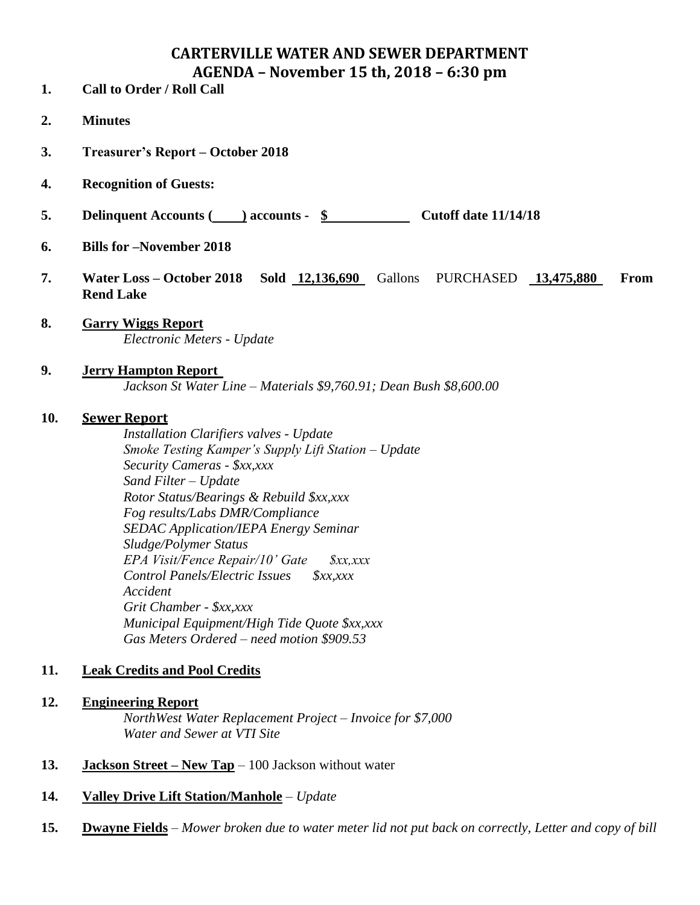# **CARTERVILLE WATER AND SEWER DEPARTMENT AGENDA – November 15 th, 2018 – 6:30 pm**

- **1. Call to Order / Roll Call**
- **2. Minutes**
- **3. Treasurer's Report – October 2018**
- **4. Recognition of Guests:**
- **5. Delinquent Accounts ( ) accounts - \$ Cutoff date 11/14/18**
- **6. Bills for –November 2018**
- **7. Water Loss – October 2018 Sold 12,136,690** Gallons PURCHASED **13,475,880 From Rend Lake**
- **8. Garry Wiggs Report** *Electronic Meters - Update*
- **9. Jerry Hampton Report** *Jackson St Water Line – Materials \$9,760.91; Dean Bush \$8,600.00*

#### **10. Sewer Report**

*Installation Clarifiers valves - Update Smoke Testing Kamper's Supply Lift Station – Update Security Cameras - \$xx,xxx Sand Filter – Update Rotor Status/Bearings & Rebuild \$xx,xxx Fog results/Labs DMR/Compliance SEDAC Application/IEPA Energy Seminar Sludge/Polymer Status EPA Visit/Fence Repair/10' Gate \$xx,xxx Control Panels/Electric Issues \$xx,xxx Accident Grit Chamber - \$xx,xxx Municipal Equipment/High Tide Quote \$xx,xxx Gas Meters Ordered – need motion \$909.53*

### **11. Leak Credits and Pool Credits**

#### **12. Engineering Report**

*NorthWest Water Replacement Project – Invoice for \$7,000 Water and Sewer at VTI Site*

- **13. Jackson Street – New Tap** 100 Jackson without water
- **14. Valley Drive Lift Station/Manhole** *Update*
- **15. Dwayne Fields** *Mower broken due to water meter lid not put back on correctly, Letter and copy of bill*